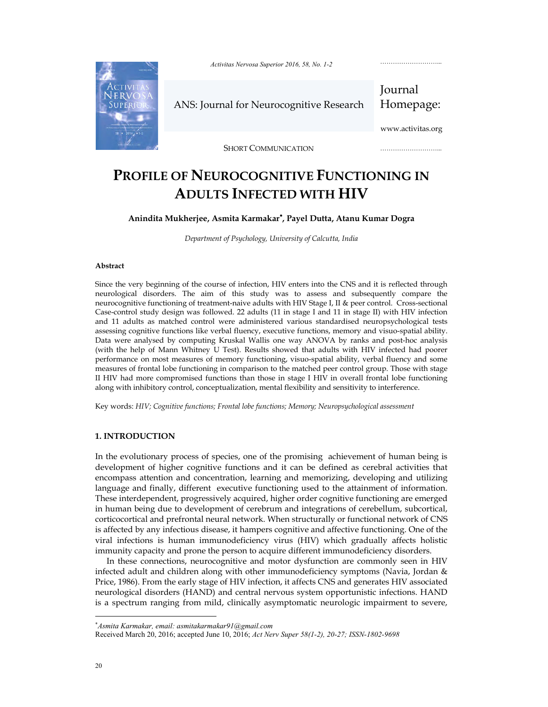

*Activitas Nervosa Superior 2016, 58, No. 1-2* 

ANS: Journal for Neurocognitive Research

Journal Homepage:

………………………...

www.activitas.org

………………………………

SHORT COMMUNICATION

# **PROFILE OF NEUROCOGNITIVE FUNCTIONING IN ADULTS INFECTED WITH HIV**

# **Anindita Mukherjee, Asmita Karmakar , Payel Dutta, Atanu Kumar Dogra**

*Department of Psychology, University of Calcutta, India* 

#### **Abstract**

Since the very beginning of the course of infection, HIV enters into the CNS and it is reflected through neurological disorders. The aim of this study was to assess and subsequently compare the neurocognitive functioning of treatment-naive adults with HIV Stage I, II & peer control. Cross-sectional Case-control study design was followed. 22 adults (11 in stage I and 11 in stage II) with HIV infection and 11 adults as matched control were administered various standardised neuropsychological tests assessing cognitive functions like verbal fluency, executive functions, memory and visuo-spatial ability. Data were analysed by computing Kruskal Wallis one way ANOVA by ranks and post-hoc analysis (with the help of Mann Whitney U Test). Results showed that adults with HIV infected had poorer performance on most measures of memory functioning, visuo-spatial ability, verbal fluency and some measures of frontal lobe functioning in comparison to the matched peer control group. Those with stage II HIV had more compromised functions than those in stage I HIV in overall frontal lobe functioning along with inhibitory control, conceptualization, mental flexibility and sensitivity to interference.

Key words: *HIV; Cognitive functions; Frontal lobe functions; Memory; Neuropsychological assessment*

## **1. INTRODUCTION**

In the evolutionary process of species, one of the promising achievement of human being is development of higher cognitive functions and it can be defined as cerebral activities that encompass attention and concentration, learning and memorizing, developing and utilizing language and finally, different executive functioning used to the attainment of information. These interdependent, progressively acquired, higher order cognitive functioning are emerged in human being due to development of cerebrum and integrations of cerebellum, subcortical, corticocortical and prefrontal neural network. When structurally or functional network of CNS is affected by any infectious disease, it hampers cognitive and affective functioning. One of the viral infections is human immunodeficiency virus (HIV) which gradually affects holistic immunity capacity and prone the person to acquire different immunodeficiency disorders.

In these connections, neurocognitive and motor dysfunction are commonly seen in HIV infected adult and children along with other immunodeficiency symptoms (Navia, Jordan & Price, 1986). From the early stage of HIV infection, it affects CNS and generates HIV associated neurological disorders (HAND) and central nervous system opportunistic infections. HAND is a spectrum ranging from mild, clinically asymptomatic neurologic impairment to severe,

*Asmita Karmakar, email: asmitakarmakar91@gmail.com*

Received March 20, 2016; accepted June 10, 2016; *Act Nerv Super 58(1-2), 20-27; ISSN-1802-9698*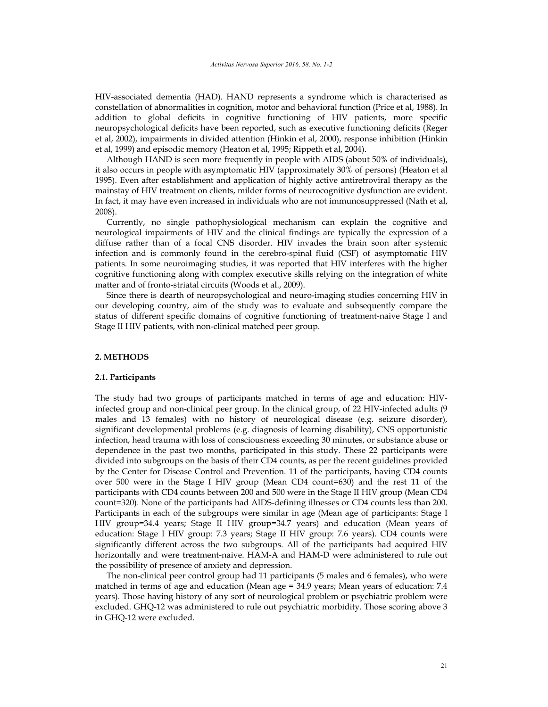HIV-associated dementia (HAD). HAND represents a syndrome which is characterised as constellation of abnormalities in cognition, motor and behavioral function (Price et al, 1988). In addition to global deficits in cognitive functioning of HIV patients, more specific neuropsychological deficits have been reported, such as executive functioning deficits (Reger et al, 2002), impairments in divided attention (Hinkin et al, 2000), response inhibition (Hinkin et al, 1999) and episodic memory (Heaton et al, 1995; Rippeth et al, 2004).

Although HAND is seen more frequently in people with AIDS (about 50% of individuals), it also occurs in people with asymptomatic HIV (approximately 30% of persons) (Heaton et al 1995). Even after establishment and application of highly active antiretroviral therapy as the mainstay of HIV treatment on clients, milder forms of neurocognitive dysfunction are evident. In fact, it may have even increased in individuals who are not immunosuppressed (Nath et al, 2008).

Currently, no single pathophysiological mechanism can explain the cognitive and neurological impairments of HIV and the clinical findings are typically the expression of a diffuse rather than of a focal CNS disorder. HIV invades the brain soon after systemic infection and is commonly found in the cerebro-spinal fluid (CSF) of asymptomatic HIV patients. In some neuroimaging studies, it was reported that HIV interferes with the higher cognitive functioning along with complex executive skills relying on the integration of white matter and of fronto-striatal circuits (Woods et al., 2009).

Since there is dearth of neuropsychological and neuro-imaging studies concerning HIV in our developing country, aim of the study was to evaluate and subsequently compare the status of different specific domains of cognitive functioning of treatment-naive Stage I and Stage II HIV patients, with non-clinical matched peer group.

# **2. METHODS**

## **2.1. Participants**

The study had two groups of participants matched in terms of age and education: HIVinfected group and non-clinical peer group. In the clinical group, of 22 HIV-infected adults (9 males and 13 females) with no history of neurological disease (e.g. seizure disorder), significant developmental problems (e.g. diagnosis of learning disability), CNS opportunistic infection, head trauma with loss of consciousness exceeding 30 minutes, or substance abuse or dependence in the past two months, participated in this study. These 22 participants were divided into subgroups on the basis of their CD4 counts, as per the recent guidelines provided by the Center for Disease Control and Prevention. 11 of the participants, having CD4 counts over 500 were in the Stage I HIV group (Mean CD4 count=630) and the rest 11 of the participants with CD4 counts between 200 and 500 were in the Stage II HIV group (Mean CD4 count=320). None of the participants had AIDS-defining illnesses or CD4 counts less than 200. Participants in each of the subgroups were similar in age (Mean age of participants: Stage I HIV group=34.4 years; Stage II HIV group=34.7 years) and education (Mean years of education: Stage I HIV group: 7.3 years; Stage II HIV group: 7.6 years). CD4 counts were significantly different across the two subgroups. All of the participants had acquired HIV horizontally and were treatment-naive. HAM-A and HAM-D were administered to rule out the possibility of presence of anxiety and depression.

The non-clinical peer control group had 11 participants (5 males and 6 females), who were matched in terms of age and education (Mean age = 34.9 years; Mean years of education: 7.4 years). Those having history of any sort of neurological problem or psychiatric problem were excluded. GHQ-12 was administered to rule out psychiatric morbidity. Those scoring above 3 in GHQ-12 were excluded.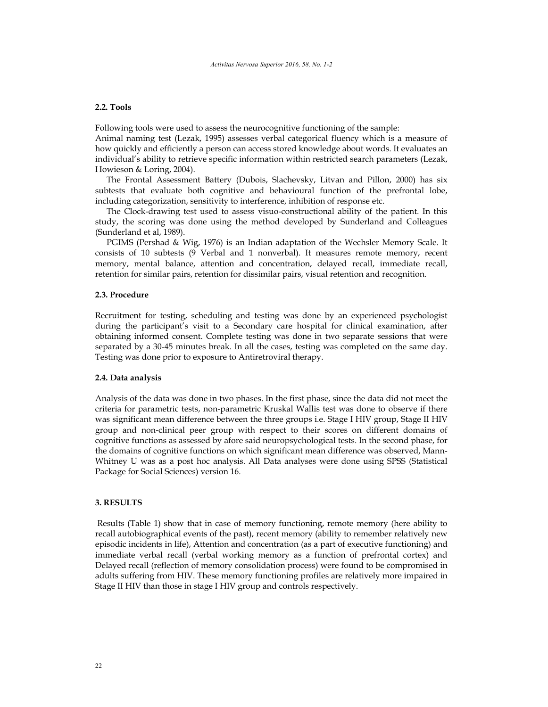## **2.2. Tools**

Following tools were used to assess the neurocognitive functioning of the sample: Animal naming test (Lezak, 1995) assesses verbal categorical fluency which is a measure of how quickly and efficiently a person can access stored knowledge about words. It evaluates an individual's ability to retrieve specific information within restricted search parameters (Lezak, Howieson & Loring, 2004).

The Frontal Assessment Battery (Dubois, Slachevsky, Litvan and Pillon, 2000) has six subtests that evaluate both cognitive and behavioural function of the prefrontal lobe, including categorization, sensitivity to interference, inhibition of response etc.

The Clock-drawing test used to assess visuo-constructional ability of the patient. In this study, the scoring was done using the method developed by Sunderland and Colleagues (Sunderland et al, 1989).

PGIMS (Pershad & Wig, 1976) is an Indian adaptation of the Wechsler Memory Scale. It consists of 10 subtests (9 Verbal and 1 nonverbal). It measures remote memory, recent memory, mental balance, attention and concentration, delayed recall, immediate recall, retention for similar pairs, retention for dissimilar pairs, visual retention and recognition.

## **2.3. Procedure**

Recruitment for testing, scheduling and testing was done by an experienced psychologist during the participant's visit to a Secondary care hospital for clinical examination, after obtaining informed consent. Complete testing was done in two separate sessions that were separated by a 30-45 minutes break. In all the cases, testing was completed on the same day. Testing was done prior to exposure to Antiretroviral therapy.

#### **2.4. Data analysis**

Analysis of the data was done in two phases. In the first phase, since the data did not meet the criteria for parametric tests, non-parametric Kruskal Wallis test was done to observe if there was significant mean difference between the three groups i.e. Stage I HIV group, Stage II HIV group and non-clinical peer group with respect to their scores on different domains of cognitive functions as assessed by afore said neuropsychological tests. In the second phase, for the domains of cognitive functions on which significant mean difference was observed, Mann-Whitney U was as a post hoc analysis. All Data analyses were done using SPSS (Statistical Package for Social Sciences) version 16.

# **3. RESULTS**

 Results (Table 1) show that in case of memory functioning, remote memory (here ability to recall autobiographical events of the past), recent memory (ability to remember relatively new episodic incidents in life), Attention and concentration (as a part of executive functioning) and immediate verbal recall (verbal working memory as a function of prefrontal cortex) and Delayed recall (reflection of memory consolidation process) were found to be compromised in adults suffering from HIV. These memory functioning profiles are relatively more impaired in Stage II HIV than those in stage I HIV group and controls respectively.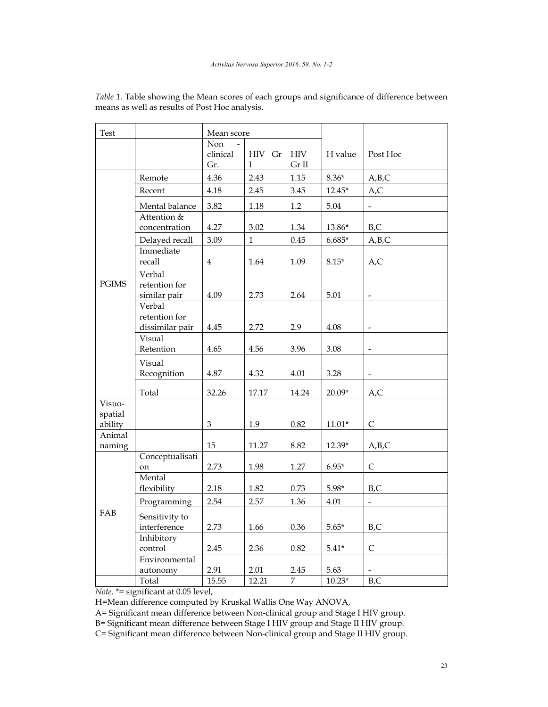| Test                                                |                                            | Mean score             |              |                     |          |                          |
|-----------------------------------------------------|--------------------------------------------|------------------------|--------------|---------------------|----------|--------------------------|
|                                                     |                                            | Non<br>clinical<br>Gr. | HIV Gr<br>I  | <b>HIV</b><br>Gr II | H value  | Post Hoc                 |
| <b>PGIMS</b>                                        | Remote                                     | 4.36                   | 2.43         | 1.15                | $8.36*$  | A,B,C                    |
|                                                     | Recent                                     | 4.18                   | 2.45         | 3.45                | $12.45*$ | A, C                     |
|                                                     | Mental balance<br>Attention &              | 3.82                   | 1.18         | 1.2                 | 5.04     | $\overline{\phantom{a}}$ |
|                                                     | concentration                              | 4.27                   | 3.02         | 1.34                | 13.86*   | B,C                      |
|                                                     | Delayed recall                             | 3.09                   | $\mathbf{1}$ | 0.45                | $6.685*$ | A,B,C                    |
|                                                     | Immediate<br>recall                        | $\bf 4$                | 1.64         | 1.09                | $8.15*$  | A,C                      |
|                                                     | Verbal<br>retention for<br>similar pair    | 4.09                   | 2.73         | 2.64                | 5.01     |                          |
|                                                     | Verbal<br>retention for<br>dissimilar pair | 4.45                   | 2.72         | 2.9                 | 4.08     |                          |
|                                                     | Visual<br>Retention                        | 4.65                   | 4.56         | 3.96                | 3.08     | $\qquad \qquad -$        |
|                                                     | Visual<br>Recognition                      | 4.87                   | 4.32         | 4.01                | 3.28     |                          |
|                                                     | Total                                      | 32.26                  | 17.17        | 14.24               | $20.09*$ | A,C                      |
| $\overline{\mathrm{V}}$ isuo-<br>spatial<br>ability |                                            | $\,3$                  | 1.9          | 0.82                | $11.01*$ | $\mathsf C$              |
| Animal<br>naming                                    |                                            | 15                     | 11.27        | 8.82                | 12.39*   | A,B,C                    |
| FAB                                                 | Conceptualisati<br>on                      | 2.73                   | 1.98         | 1.27                | $6.95*$  | $\mathsf C$              |
|                                                     | Mental<br>flexibility                      | 2.18                   | 1.82         | 0.73                | $5.98*$  | B,C                      |
|                                                     | Programming                                | 2.54                   | 2.57         | 1.36                | 4.01     | $\overline{\phantom{0}}$ |
|                                                     | Sensitivity to<br>interference             | 2.73                   | 1.66         | 0.36                | $5.65*$  | B,C                      |
|                                                     | Inhibitory<br>control                      | 2.45                   | 2.36         | 0.82                | $5.41*$  | $\mathsf{C}$             |
|                                                     | Environmental<br>autonomy                  | 2.91                   | 2.01         | 2.45                | 5.63     |                          |
|                                                     | Total                                      | 15.55                  | 12.21        | 7                   | $10.23*$ | B,C                      |

*Table 1.* Table showing the Mean scores of each groups and significance of difference between means as well as results of Post Hoc analysis.

*Note.* \*= significant at 0.05 level,

H=Mean difference computed by Kruskal Wallis One Way ANOVA,

A= Significant mean difference between Non-clinical group and Stage I HIV group.

B= Significant mean difference between Stage I HIV group and Stage II HIV group.

C= Significant mean difference between Non-clinical group and Stage II HIV group.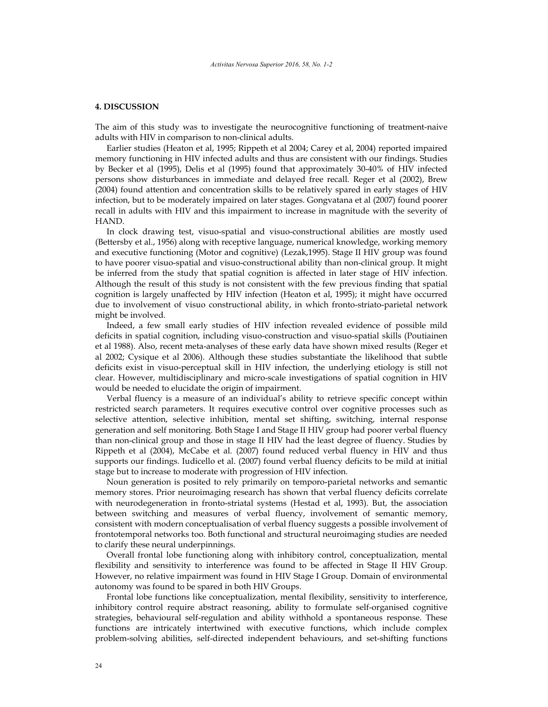## **4. DISCUSSION**

The aim of this study was to investigate the neurocognitive functioning of treatment-naive adults with HIV in comparison to non-clinical adults.

Earlier studies (Heaton et al, 1995; Rippeth et al 2004; Carey et al, 2004) reported impaired memory functioning in HIV infected adults and thus are consistent with our findings. Studies by Becker et al (1995), Delis et al (1995) found that approximately 30-40% of HIV infected persons show disturbances in immediate and delayed free recall. Reger et al (2002), Brew (2004) found attention and concentration skills to be relatively spared in early stages of HIV infection, but to be moderately impaired on later stages. Gongvatana et al (2007) found poorer recall in adults with HIV and this impairment to increase in magnitude with the severity of HAND.

In clock drawing test, visuo-spatial and visuo-constructional abilities are mostly used (Bettersby et al., 1956) along with receptive language, numerical knowledge, working memory and executive functioning (Motor and cognitive) (Lezak,1995). Stage II HIV group was found to have poorer visuo-spatial and visuo-constructional ability than non-clinical group. It might be inferred from the study that spatial cognition is affected in later stage of HIV infection. Although the result of this study is not consistent with the few previous finding that spatial cognition is largely unaffected by HIV infection (Heaton et al, 1995); it might have occurred due to involvement of visuo constructional ability, in which fronto-striato-parietal network might be involved.

Indeed, a few small early studies of HIV infection revealed evidence of possible mild deficits in spatial cognition, including visuo-construction and visuo-spatial skills (Poutiainen et al 1988). Also, recent meta-analyses of these early data have shown mixed results (Reger et al 2002; Cysique et al 2006). Although these studies substantiate the likelihood that subtle deficits exist in visuo-perceptual skill in HIV infection, the underlying etiology is still not clear. However, multidisciplinary and micro-scale investigations of spatial cognition in HIV would be needed to elucidate the origin of impairment.

Verbal fluency is a measure of an individual's ability to retrieve specific concept within restricted search parameters. It requires executive control over cognitive processes such as selective attention, selective inhibition, mental set shifting, switching, internal response generation and self monitoring. Both Stage I and Stage II HIV group had poorer verbal fluency than non-clinical group and those in stage II HIV had the least degree of fluency. Studies by Rippeth et al (2004), McCabe et al. (2007) found reduced verbal fluency in HIV and thus supports our findings. Iudicello et al. (2007) found verbal fluency deficits to be mild at initial stage but to increase to moderate with progression of HIV infection.

Noun generation is posited to rely primarily on temporo-parietal networks and semantic memory stores. Prior neuroimaging research has shown that verbal fluency deficits correlate with neurodegeneration in fronto-striatal systems (Hestad et al, 1993). But, the association between switching and measures of verbal fluency, involvement of semantic memory, consistent with modern conceptualisation of verbal fluency suggests a possible involvement of frontotemporal networks too. Both functional and structural neuroimaging studies are needed to clarify these neural underpinnings.

Overall frontal lobe functioning along with inhibitory control, conceptualization, mental flexibility and sensitivity to interference was found to be affected in Stage II HIV Group. However, no relative impairment was found in HIV Stage I Group. Domain of environmental autonomy was found to be spared in both HIV Groups.

Frontal lobe functions like conceptualization, mental flexibility, sensitivity to interference, inhibitory control require abstract reasoning, ability to formulate self-organised cognitive strategies, behavioural self-regulation and ability withhold a spontaneous response. These functions are intricately intertwined with executive functions, which include complex problem-solving abilities, self-directed independent behaviours, and set-shifting functions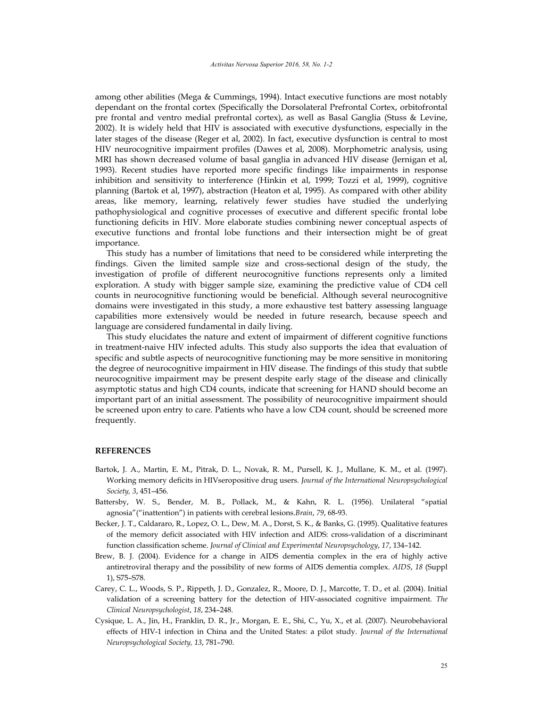among other abilities (Mega & Cummings, 1994). Intact executive functions are most notably dependant on the frontal cortex (Specifically the Dorsolateral Prefrontal Cortex, orbitofrontal pre frontal and ventro medial prefrontal cortex), as well as Basal Ganglia (Stuss & Levine, 2002). It is widely held that HIV is associated with executive dysfunctions, especially in the later stages of the disease (Reger et al, 2002). In fact, executive dysfunction is central to most HIV neurocognitive impairment profiles (Dawes et al, 2008). Morphometric analysis, using MRI has shown decreased volume of basal ganglia in advanced HIV disease (Jernigan et al, 1993). Recent studies have reported more specific findings like impairments in response inhibition and sensitivity to interference (Hinkin et al, 1999; Tozzi et al, 1999), cognitive planning (Bartok et al, 1997), abstraction (Heaton et al, 1995). As compared with other ability areas, like memory, learning, relatively fewer studies have studied the underlying pathophysiological and cognitive processes of executive and different specific frontal lobe functioning deficits in HIV. More elaborate studies combining newer conceptual aspects of executive functions and frontal lobe functions and their intersection might be of great importance.

This study has a number of limitations that need to be considered while interpreting the findings. Given the limited sample size and cross-sectional design of the study, the investigation of profile of different neurocognitive functions represents only a limited exploration. A study with bigger sample size, examining the predictive value of CD4 cell counts in neurocognitive functioning would be beneficial. Although several neurocognitive domains were investigated in this study, a more exhaustive test battery assessing language capabilities more extensively would be needed in future research, because speech and language are considered fundamental in daily living.

This study elucidates the nature and extent of impairment of different cognitive functions in treatment-naive HIV infected adults. This study also supports the idea that evaluation of specific and subtle aspects of neurocognitive functioning may be more sensitive in monitoring the degree of neurocognitive impairment in HIV disease. The findings of this study that subtle neurocognitive impairment may be present despite early stage of the disease and clinically asymptotic status and high CD4 counts, indicate that screening for HAND should become an important part of an initial assessment. The possibility of neurocognitive impairment should be screened upon entry to care. Patients who have a low CD4 count, should be screened more frequently.

#### **REFERENCES**

- Bartok, J. A., Martin, E. M., Pitrak, D. L., Novak, R. M., Pursell, K. J., Mullane, K. M., et al. (1997). Working memory deficits in HIVseropositive drug users. *Journal of the International Neuropsychological Society, 3*, 451–456.
- Battersby, W. S., Bender, M. B., Pollack, M., & Kahn, R. L. (1956). Unilateral "spatial agnosia"("inattention") in patients with cerebral lesions.*Brain*, *79*, 68-93.
- Becker, J. T., Caldararo, R., Lopez, O. L., Dew, M. A., Dorst, S. K., & Banks, G. (1995). Qualitative features of the memory deficit associated with HIV infection and AIDS: cross-validation of a discriminant function classification scheme. *Journal of Clinical and Experimental Neuropsychology*, *17*, 134–142.
- Brew, B. J. (2004). Evidence for a change in AIDS dementia complex in the era of highly active antiretroviral therapy and the possibility of new forms of AIDS dementia complex. *AIDS*, *18* (Suppl 1), S75–S78.
- Carey, C. L., Woods, S. P., Rippeth, J. D., Gonzalez, R., Moore, D. J., Marcotte, T. D., et al. (2004). Initial validation of a screening battery for the detection of HIV-associated cognitive impairment. *The Clinical Neuropsychologist*, *18*, 234–248.
- Cysique, L. A., Jin, H., Franklin, D. R., Jr., Morgan, E. E., Shi, C., Yu, X., et al. (2007). Neurobehavioral effects of HIV-1 infection in China and the United States: a pilot study. *Journal of the International Neuropsychological Society, 13*, 781–790.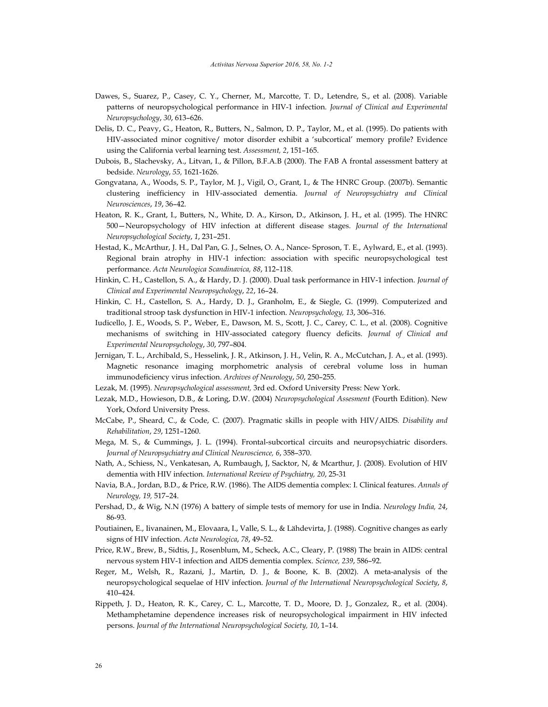- Dawes, S., Suarez, P., Casey, C. Y., Cherner, M., Marcotte, T. D., Letendre, S., et al. (2008). Variable patterns of neuropsychological performance in HIV-1 infection. *Journal of Clinical and Experimental Neuropsychology*, *30*, 613–626.
- Delis, D. C., Peavy, G., Heaton, R., Butters, N., Salmon, D. P., Taylor, M., et al. (1995). Do patients with HIV-associated minor cognitive/ motor disorder exhibit a 'subcortical' memory profile? Evidence using the California verbal learning test. *Assessment, 2*, 151–165.
- Dubois, B., Slachevsky, A., Litvan, I., & Pillon, B.F.A.B (2000). The FAB A frontal assessment battery at bedside. *Neurology*, *55,* 1621-1626.
- Gongvatana, A., Woods, S. P., Taylor, M. J., Vigil, O., Grant, I., & The HNRC Group. (2007b). Semantic clustering inefficiency in HIV-associated dementia. *Journal of Neuropsychiatry and Clinical Neurosciences*, *19*, 36–42.
- Heaton, R. K., Grant, I., Butters, N., White, D. A., Kirson, D., Atkinson, J. H., et al. (1995). The HNRC 500—Neuropsychology of HIV infection at different disease stages. *Journal of the International Neuropsychological Society*, *1*, 231–251.
- Hestad, K., McArthur, J. H., Dal Pan, G. J., Selnes, O. A., Nance- Sproson, T. E., Aylward, E., et al. (1993). Regional brain atrophy in HIV-1 infection: association with specific neuropsychological test performance. *Acta Neurologica Scandinavica, 88*, 112–118.
- Hinkin, C. H., Castellon, S. A., & Hardy, D. J. (2000). Dual task performance in HIV-1 infection. *Journal of Clinical and Experimental Neuropsychology*, *22*, 16–24.
- Hinkin, C. H., Castellon, S. A., Hardy, D. J., Granholm, E., & Siegle, G. (1999). Computerized and traditional stroop task dysfunction in HIV-1 infection. *Neuropsychology, 13*, 306–316.
- Iudicello, J. E., Woods, S. P., Weber, E., Dawson, M. S., Scott, J. C., Carey, C. L., et al. (2008). Cognitive mechanisms of switching in HIV-associated category fluency deficits. *Journal of Clinical and Experimental Neuropsychology*, *30*, 797–804.
- Jernigan, T. L., Archibald, S., Hesselink, J. R., Atkinson, J. H., Velin, R. A., McCutchan, J. A., et al. (1993). Magnetic resonance imaging morphometric analysis of cerebral volume loss in human immunodeficiency virus infection. *Archives of Neurology*, *50*, 250–255.
- Lezak, M. (1995). *Neuropsychological assessment,* 3rd ed. Oxford University Press: New York.
- Lezak, M.D., Howieson, D.B., & Loring, D.W. (2004) *Neuropsychological Assesment* (Fourth Edition). New York, Oxford University Press.
- McCabe, P., Sheard, C., & Code, C. (2007). Pragmatic skills in people with HIV/AIDS*. Disability and Rehabilitation*, *29*, 1251–1260.
- Mega, M. S., & Cummings, J. L. (1994). Frontal-subcortical circuits and neuropsychiatric disorders. *Journal of Neuropsychiatry and Clinical Neuroscience, 6*, 358–370.
- Nath, A., Schiess, N., Venkatesan, A, Rumbaugh, J, Sacktor, N, & Mcarthur, J. (2008). Evolution of HIV dementia with HIV infection. *International Review of Psychiatry, 20*, 25-31
- Navia, B.A., Jordan, B.D., & Price, R.W. (1986). The AIDS dementia complex: I. Clinical features. *Annals of Neurology, 19,* 517–24.
- Pershad, D., & Wig, N.N (1976) A battery of simple tests of memory for use in India. *Neurology India, 24*, 86-93.
- Poutiainen, E., Iivanainen, M., Elovaara, I., Valle, S. L., & Lähdevirta, J. (1988). Cognitive changes as early signs of HIV infection. *Acta Neurologica*, *78*, 49–52.
- Price, R.W., Brew, B., Sidtis, J., Rosenblum, M., Scheck, A.C., Cleary, P. (1988) The brain in AIDS: central nervous system HIV-1 infection and AIDS dementia complex. *Science, 239*, 586–92.
- Reger, M., Welsh, R., Razani, J., Martin, D. J., & Boone, K. B. (2002). A meta-analysis of the neuropsychological sequelae of HIV infection. *Journal of the International Neuropsychological Society*, *8*, 410–424.
- Rippeth, J. D., Heaton, R. K., Carey, C. L., Marcotte, T. D., Moore, D. J., Gonzalez, R., et al. (2004). Methamphetamine dependence increases risk of neuropsychological impairment in HIV infected persons. *Journal of the International Neuropsychological Society, 10*, 1–14.